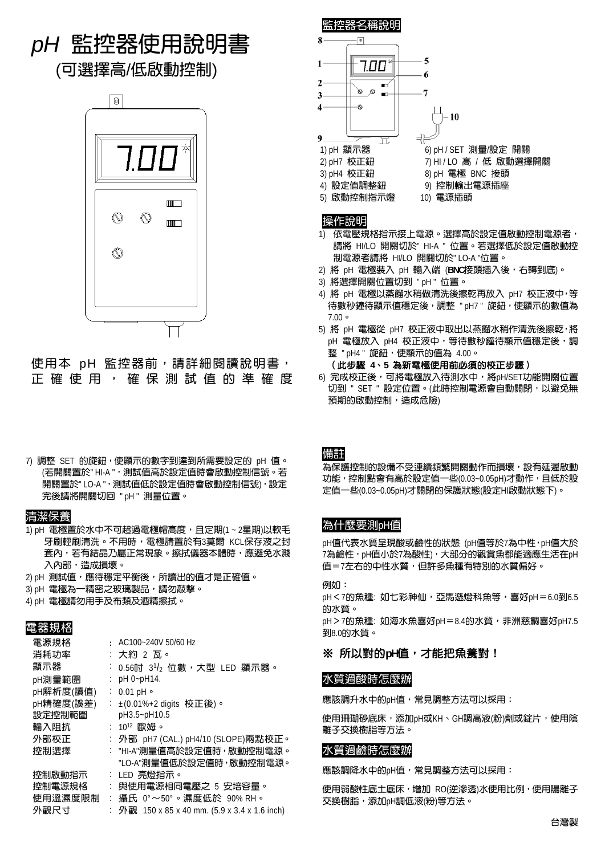# *pH* 監控器使用說明書

(可選擇高/低啟動控制)



使用本 pH 監控器前,請詳細閱讀說明書, 正確使用,確保測試值的準確度

7) 調整 SET 的旋鈕,使顯示的數字到達到所需要設定的 pH 值。 (若開關置於" HI-A ", 測試值高於設定值時會啟動控制信號。若 開關置於" LO-A ",測試值低於設定值時會啟動控制信號),設定 完後請將開關切回 " pH " 測量位置。

#### 清潔保養

- 1) pH 電極置於水中不可超過電極帽高度,且定期(1~2星期)以軟毛 牙刷輕刷清洗。不用時,電極請置於有3莫爾 KCL保存液之封 套內,若有結晶乃屬正常現象。擦拭儀器本體時,應避免水濺 入內部,造成損壞。
- 2) pH 測試值,應待穩定平衡後,所讀出的值才是正確值。
- 3) pH 電極為一精密之玻璃製品,請勿敲擊。
- 4) pH 電極請勿用手及布類及酒精擦拭。

## 電器規格

| 電源規格      |                      | $\cdot$ AC100~240V 50/60 Hz                   |
|-----------|----------------------|-----------------------------------------------|
| 消耗功率      |                      | : 大約 2 瓦。                                     |
| 顯示器       |                      | $0.56$ 吋 $3\frac{1}{2}$ 位數,大型 LED 顯示器。        |
| pH測量範圍    |                      | pH 0~pH14.                                    |
| pH解析度(讀值) |                      | $: 0.01$ pH $\circ$                           |
| pH精確度(誤差) |                      | : ±(0.01%+2 digits 校正後)。                      |
| 設定控制範圍    |                      | pH3.5~pH10.5                                  |
| 輸入阴抗      |                      | $: 10^{12}$ 歐姆。                               |
| 外部校正      |                      | : 外部 pH7 (CAL.) pH4/10 (SLOPE)兩點校正。           |
| 控制選擇      |                      | : "HI-A"測量值高於設定值時,啟動控制電源。                     |
|           |                      | "LO-A"測暈值低於設定值時,啟動控制電源。                       |
| 控制啟動指示    |                      | : LED 亮燈指示。                                   |
| 控制電源規格    |                      | 與使用電源相同電壓之 5 安培容量。                            |
| 使用溫濕度限制   | $\ddot{\phantom{a}}$ | 攝氏 0°~50°。濕度低於 90% RH。                        |
| 外觀尺寸      |                      | : 外觀 150 x 85 x 40 mm. (5.9 x 3.4 x 1.6 inch) |
|           |                      |                                               |



## 操作說明

- 1) 依電壓規格指示接上電源。選擇高於設定值啟動控制電源者, 請將 HI/LO 開關切於" HI-A " 位置。若選擇低於設定值啟動控 制電源者請將 HI/LO 開關切於" LO-A "位置。
- 2) 將 pH 電極裝入 pH 輸入端 (**BNC**接頭插入後,右轉到底)。
- 3) 將選擇開關位置切到 " pH " 位置。
- 4) 將 pH 電極以蒸餾水稍做清洗後擦乾再放入 pH7 校正液中,等 待數秒鐘待顯示值穩定後,調整 "pH7" 旋鈕,使顯示的數值為 7.00。
- 5) 將 pH 電極從 pH7 校正液中取出以蒸餾水稍作清洗後擦乾,將 pH 電極放入 pH4 校正液中,等待數秒鐘待顯示值穩定後,調 整 " pH4 " 旋鈕,使顯示的值為 4.00。
	- (此步驟 **4**、**5** 為新電極使用前必須的校正步驟)
- $60$ 完成校正後,可將電極放入待測水中,將pH/SET功能開關位置 切到 " SET " 設定位置。(此時控制電源會自動關閉,以避免無 預期的啟動控制,造成危險)

備註

為保護控制的設備不受連續頻繁開關動作而損壞,設有延遲啟動 功能,控制點會有高於設定值一些(0.03~0.05pH)才動作,且低於設 定值一些(0.03~0.05pH)才關閉的保護狀態(設定HI啟動狀態下)。

## 為什麼要測pH值

pH值代表水質呈現酸或鹼性的狀態 (pH值等於7為中性, pH值大於 7為鹼性, pH值小於7為酸性), 大部分的觀賞魚都能適應生活在pH 值=7左右的中性水質,但許多魚種有特別的水質偏好。

**例加:** pH < 7的魚種: 如七彩神仙,亞馬遜燈科魚等,喜好pH = 6.0到6.5 的水質。 pH>7的魚種: 如海水魚喜好pH=8.4的水質,非洲慈鯛喜好pH7.5 到8.0的水質。

## ※ 所以對的**pH**值,才能把魚養對!

## 水質過酸時怎麼辦

應該調升水中的pH值,常見調整方法可以採用:

使用珊瑚砂底床,添加pH或KH、GH調高液(粉)劑或錠片,使用陰 離子交換樹脂等方法。

## 水質過鹼時怎麼辦

應該調降水中的pH值,常見調整方法可以採用:

使用弱酸性底土底床,增加 RO(逆滲透)水使用比例,使用陽離子 交換樹脂,添加pH調低液(粉)等方法。